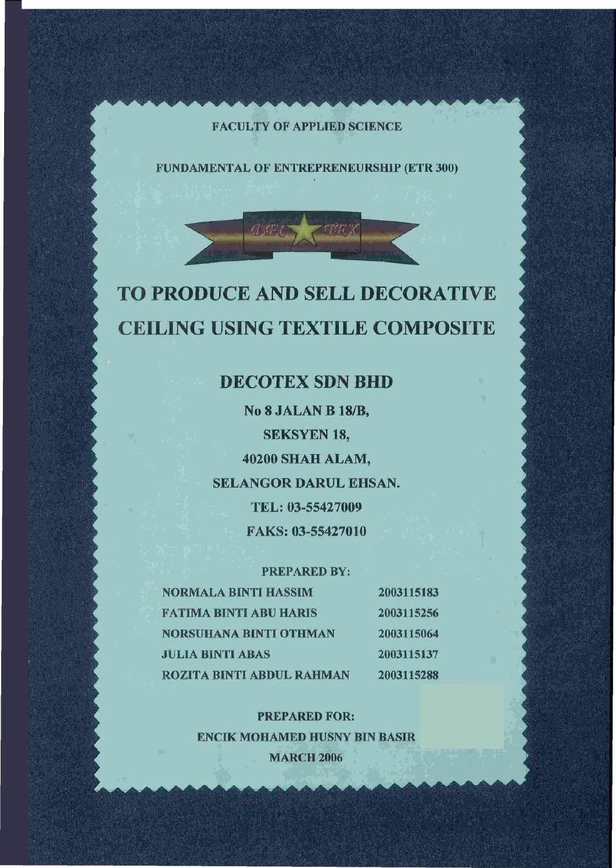FACULTY OF APPLIED SCIENCE

FUNDAMENTAL OF ENTREPRENEURSHIP (ETR 300)

(1)年(下

# **TO PRODUCE AND SELL DECORATIVE CEILING USING TEXTILE COMPOSITE**

# **DECOTEX SDN BHD**

No 8 JALAN B 18/B, SEKSYEN 18, 40200 SHAH ALAM, SELANGOR DARUL EHSAN. TEL: 03-55427009 FAKS: 03-55427010

### PREPARED BY:

| <b>NORMALA BINTI HASSIM</b>      | 2003115183 |
|----------------------------------|------------|
| <b>FATIMA BINTI ABU HARIS</b>    | 2003115256 |
| <b>NORSUHANA BINTI OTHMAN</b>    | 2003115064 |
| <b>JULIA BINTI ABAS</b>          | 2003115137 |
| <b>ROZITA BINTI ABDUL RAHMAN</b> | 2003115288 |

PREPARED FOR: ENCIK MOHAMED HUSNY BIN BASIR **MARCH 2006**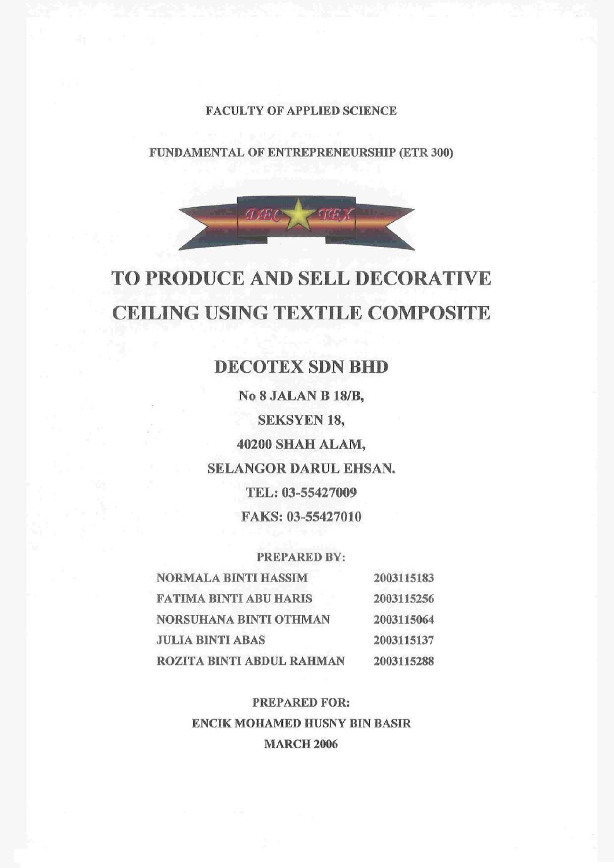#### FACULTY OF APPLIED SCIENCE

FUNDAMENTAL OF ENTREPRENEURSHIP (ETR 300)



# **TO PRODUCE AND SELL DECORATIVE CEILING USING TEXTILE COMPOSITE**

# **DECOTEX SDN BHD**

No 8 JALAN B 18/B, SEKSYEN 18, 40200 SHAH ALAM, SELANGOR DARUL EHSAN. TEL: 03-55427009 FAKS: 03-55427010

#### PREPARED BY:

| <b>NORMALA BINTI HASSIM</b>   | 2003115183 |
|-------------------------------|------------|
| <b>FATIMA BINTI ABU HARIS</b> | 2003115256 |
| <b>NORSUHANA BINTI OTHMAN</b> | 2003115064 |
| <b>JULIA BINTI ABAS</b>       | 2003115137 |
| ROZITA BINTI ABDUL RAHMAN     | 2003115288 |

PREPARED FOR: ENCIK MOHAMED HUSNY BIN BASIR **MARCH 2006**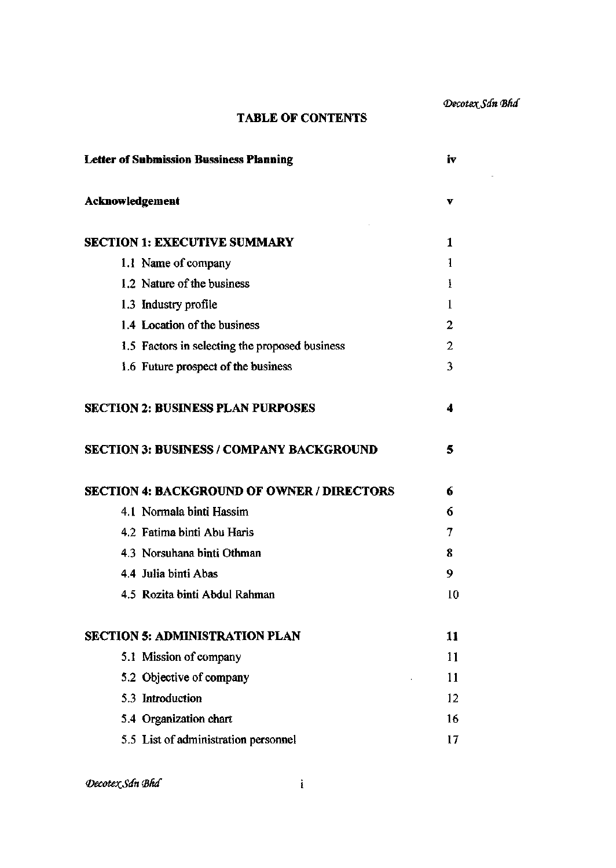## **TABLE OF CONTENTS**

| <b>Letter of Submission Bussiness Planning</b>    | iv |
|---------------------------------------------------|----|
| Acknowledgement                                   | v  |
| <b>SECTION 1: EXECUTIVE SUMMARY</b>               | 1  |
| 1.1 Name of company                               | 1  |
| 1.2 Nature of the business                        | ł. |
| 1.3 Industry profile                              | 1  |
| 1.4 Location of the business                      | 2  |
| 1.5 Factors in selecting the proposed business    | 2  |
| 1.6 Future prospect of the business               | 3  |
| <b>SECTION 2: BUSINESS PLAN PURPOSES</b>          | 4  |
| <b>SECTION 3: BUSINESS / COMPANY BACKGROUND</b>   | 5  |
| <b>SECTION 4: BACKGROUND OF OWNER / DIRECTORS</b> | 6  |
| 4.1 Normala binti Hassim                          | 6  |
| 4.2 Fatima binti Abu Haris                        | 7  |
| 4.3 Norsuhana binti Othman                        | 8  |
| 4.4 Julia binti Abas                              | 9  |
| 4.5 Rozita binti Abdul Rahman                     | 10 |
| <b>SECTION 5: ADMINISTRATION PLAN</b>             | 11 |
| 5.1 Mission of company                            | 11 |
| 5.2 Objective of company                          | 11 |
| 5.3 Introduction                                  | 12 |
| 5.4 Organization chart                            | 16 |
| 5.5 List of administration personnel              | 17 |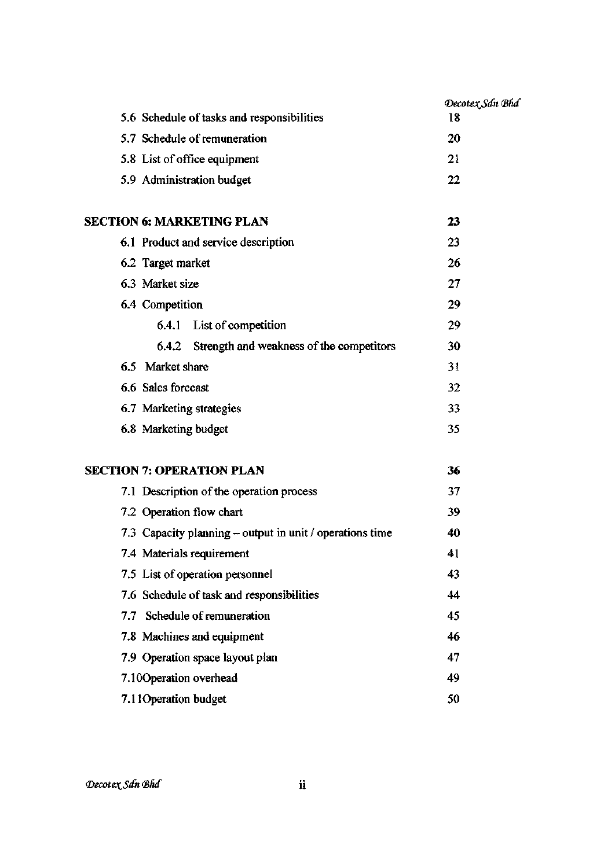|     |                                                          | Decotex San Bha |
|-----|----------------------------------------------------------|-----------------|
|     | 5.6 Schedule of tasks and responsibilities               | 18              |
|     | 5.7 Schedule of remuneration                             | 20              |
|     | 5.8 List of office equipment                             | 21              |
|     | 5.9 Administration budget                                | 22              |
|     |                                                          |                 |
|     | <b>SECTION 6: MARKETING PLAN</b>                         | 23              |
|     | 6.1 Product and service description                      | 23              |
|     | 6.2 Target market                                        | 26              |
|     | 6.3 Market size                                          | 27              |
|     | 6.4 Competition                                          | 29              |
|     | 6.4.1<br>List of competition                             | 29              |
|     | 6.4.2 Strength and weakness of the competitors           | 30              |
|     | 6.5 Market share                                         | 31              |
|     | 6.6 Sales forecast                                       | 32              |
|     | 6.7 Marketing strategies                                 | 33              |
|     | 6.8 Marketing budget                                     | 35              |
|     |                                                          |                 |
|     | <b>SECTION 7: OPERATION PLAN</b>                         | 36              |
|     | 7.1 Description of the operation process                 | 37              |
|     | 7.2 Operation flow chart                                 | 39              |
|     | 7.3 Capacity planning – output in unit / operations time | 40              |
|     | 7.4 Materials requirement                                | 41              |
|     | 7.5 List of operation personnel                          | 43              |
|     | 7.6 Schedule of task and responsibilities                | 44              |
| 7.7 | Schedule of remuneration                                 | 45              |
|     | 7.8 Machines and equipment                               | 46              |
|     | 7.9 Operation space layout plan                          | 47              |
|     | 7.10Operation overhead                                   | 49              |
|     | 7.11 Operation budget                                    | 50              |